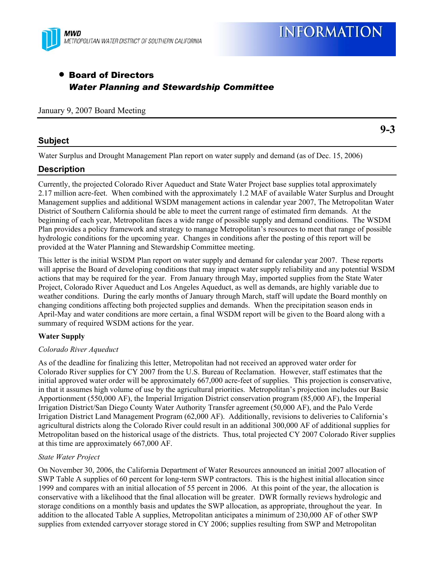

**9-3** 

# • Board of Directors *Water Planning and Stewardship Committee*

#### January 9, 2007 Board Meeting

## **Subject**

Water Surplus and Drought Management Plan report on water supply and demand (as of Dec. 15, 2006)

## **Description**

Currently, the projected Colorado River Aqueduct and State Water Project base supplies total approximately 2.17 million acre-feet. When combined with the approximately 1.2 MAF of available Water Surplus and Drought Management supplies and additional WSDM management actions in calendar year 2007, The Metropolitan Water District of Southern California should be able to meet the current range of estimated firm demands. At the beginning of each year, Metropolitan faces a wide range of possible supply and demand conditions. The WSDM Plan provides a policy framework and strategy to manage Metropolitan's resources to meet that range of possible hydrologic conditions for the upcoming year. Changes in conditions after the posting of this report will be provided at the Water Planning and Stewardship Committee meeting.

This letter is the initial WSDM Plan report on water supply and demand for calendar year 2007. These reports will apprise the Board of developing conditions that may impact water supply reliability and any potential WSDM actions that may be required for the year. From January through May, imported supplies from the State Water Project, Colorado River Aqueduct and Los Angeles Aqueduct, as well as demands, are highly variable due to weather conditions. During the early months of January through March, staff will update the Board monthly on changing conditions affecting both projected supplies and demands. When the precipitation season ends in April-May and water conditions are more certain, a final WSDM report will be given to the Board along with a summary of required WSDM actions for the year.

### **Water Supply**

#### *Colorado River Aqueduct*

As of the deadline for finalizing this letter, Metropolitan had not received an approved water order for Colorado River supplies for CY 2007 from the U.S. Bureau of Reclamation. However, staff estimates that the initial approved water order will be approximately 667,000 acre-feet of supplies. This projection is conservative, in that it assumes high volume of use by the agricultural priorities. Metropolitan's projection includes our Basic Apportionment (550,000 AF), the Imperial Irrigation District conservation program (85,000 AF), the Imperial Irrigation District/San Diego County Water Authority Transfer agreement (50,000 AF), and the Palo Verde Irrigation District Land Management Program (62,000 AF). Additionally, revisions to deliveries to California's agricultural districts along the Colorado River could result in an additional 300,000 AF of additional supplies for Metropolitan based on the historical usage of the districts. Thus, total projected CY 2007 Colorado River supplies at this time are approximately 667,000 AF.

#### *State Water Project*

On November 30, 2006, the California Department of Water Resources announced an initial 2007 allocation of SWP Table A supplies of 60 percent for long-term SWP contractors. This is the highest initial allocation since 1999 and compares with an initial allocation of 55 percent in 2006. At this point of the year, the allocation is conservative with a likelihood that the final allocation will be greater. DWR formally reviews hydrologic and storage conditions on a monthly basis and updates the SWP allocation, as appropriate, throughout the year. In addition to the allocated Table A supplies, Metropolitan anticipates a minimum of 230,000 AF of other SWP supplies from extended carryover storage stored in CY 2006; supplies resulting from SWP and Metropolitan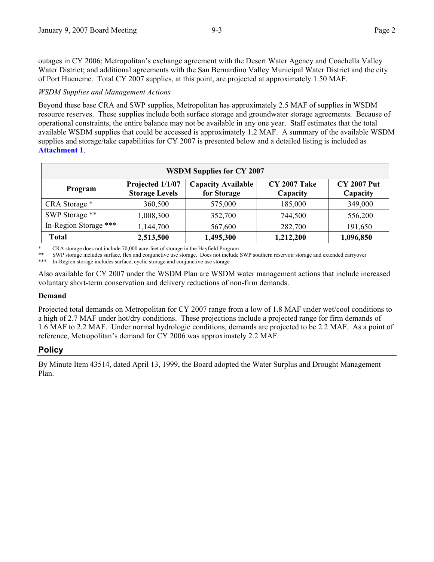outages in CY 2006; Metropolitan's exchange agreement with the Desert Water Agency and Coachella Valley Water District; and additional agreements with the San Bernardino Valley Municipal Water District and the city of Port Hueneme. Total CY 2007 supplies, at this point, are projected at approximately 1.50 MAF.

*WSDM Supplies and Management Actions* 

Beyond these base CRA and SWP supplies, Metropolitan has approximately 2.5 MAF of supplies in WSDM resource reserves. These supplies include both surface storage and groundwater storage agreements. Because of operational constraints, the entire balance may not be available in any one year. Staff estimates that the total available WSDM supplies that could be accessed is approximately 1.2 MAF. A summary of the available WSDM supplies and storage/take capabilities for CY 2007 is presented below and a detailed listing is included as **Attachment 1**.

| <b>WSDM Supplies for CY 2007</b> |                                           |                                          |                                 |                                |  |  |  |
|----------------------------------|-------------------------------------------|------------------------------------------|---------------------------------|--------------------------------|--|--|--|
| Program                          | Projected 1/1/07<br><b>Storage Levels</b> | <b>Capacity Available</b><br>for Storage | <b>CY 2007 Take</b><br>Capacity | <b>CY 2007 Put</b><br>Capacity |  |  |  |
| CRA Storage *                    | 360,500                                   | 575,000                                  | 185,000                         | 349,000                        |  |  |  |
| SWP Storage **                   | 1,008,300                                 | 352,700                                  | 744,500                         | 556,200                        |  |  |  |
| In-Region Storage ***            | 1,144,700                                 | 567,600                                  | 282,700                         | 191,650                        |  |  |  |
| <b>Total</b>                     | 2,513,500                                 | 1,495,300                                | 1,212,200                       | 1,096,850                      |  |  |  |

\* CRA storage does not include 70,000 acre-feet of storage in the Hayfield Program<br>\*\* SWD storage includes surface. For and conjunctive we starage. Does not include

\*\* SWP storage includes surface, flex and conjunctive use storage. Does not include SWP southern reservoir storage and extended carryover

In-Region storage includes surface, cyclic storage and conjunctive use storage

Also available for CY 2007 under the WSDM Plan are WSDM water management actions that include increased voluntary short-term conservation and delivery reductions of non-firm demands.

#### **Demand**

Projected total demands on Metropolitan for CY 2007 range from a low of 1.8 MAF under wet/cool conditions to a high of 2.7 MAF under hot/dry conditions. These projections include a projected range for firm demands of 1.6 MAF to 2.2 MAF. Under normal hydrologic conditions, demands are projected to be 2.2 MAF. As a point of reference, Metropolitan's demand for CY 2006 was approximately 2.2 MAF.

### **Policy**

By Minute Item 43514, dated April 13, 1999, the Board adopted the Water Surplus and Drought Management Plan.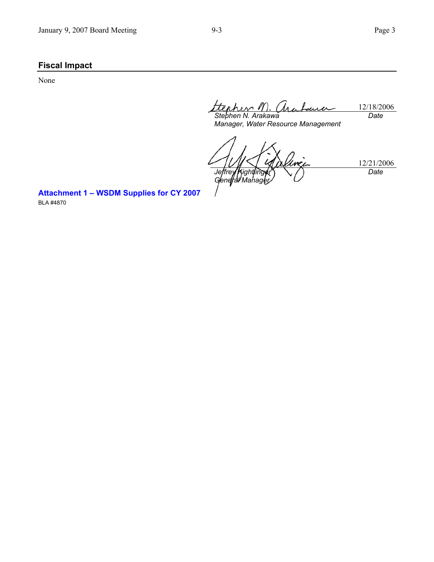# **Fiscal Impact**

None

12/18/2006 *Stephen N. Arakawa Date* 

*Manager, Water Resource Management* 

12/21/2006 *Jeffrey Kightlinger General Managey Date* 

**Attachment 1 – WSDM Supplies for CY 2007**  BLA #4870